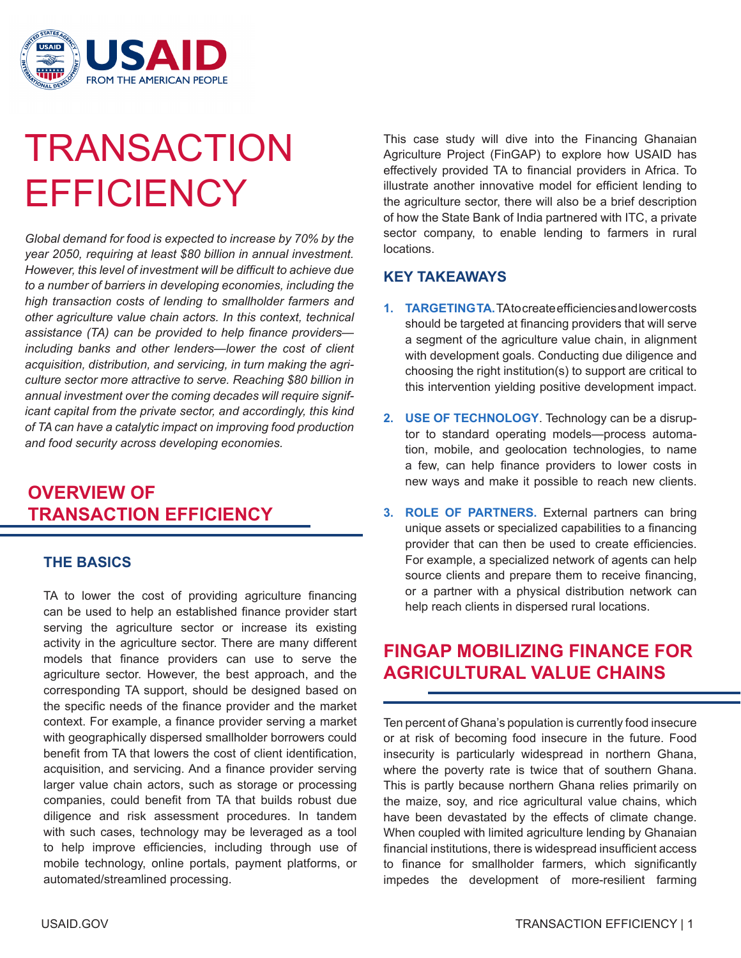

# **TRANSACTION EFFICIENCY**

*Global demand for food is expected to increase by 70% by the year 2050, requiring at least \$80 billion in annual investment. However, this level of investment will be difficult to achieve due to a number of barriers in developing economies, including the high transaction costs of lending to smallholder farmers and other agriculture value chain actors. In this context, technical assistance (TA) can be provided to help finance providers including banks and other lenders—lower the cost of client acquisition, distribution, and servicing, in turn making the agriculture sector more attractive to serve. Reaching \$80 billion in annual investment over the coming decades will require significant capital from the private sector, and accordingly, this kind of TA can have a catalytic impact on improving food production and food security across developing economies.*

## **OVERVIEW OF TRANSACTION EFFICIENCY**

#### **THE BASICS**

TA to lower the cost of providing agriculture financing can be used to help an established finance provider start serving the agriculture sector or increase its existing activity in the agriculture sector. There are many different models that finance providers can use to serve the agriculture sector. However, the best approach, and the corresponding TA support, should be designed based on the specific needs of the finance provider and the market context. For example, a finance provider serving a market with geographically dispersed smallholder borrowers could benefit from TA that lowers the cost of client identification, acquisition, and servicing. And a finance provider serving larger value chain actors, such as storage or processing companies, could benefit from TA that builds robust due diligence and risk assessment procedures. In tandem with such cases, technology may be leveraged as a tool to help improve efficiencies, including through use of mobile technology, online portals, payment platforms, or automated/streamlined processing.

This case study will dive into the Financing Ghanaian Agriculture Project (FinGAP) to explore how USAID has effectively provided TA to financial providers in Africa. To illustrate another innovative model for efficient lending to the agriculture sector, there will also be a brief description of how the State Bank of India partnered with ITC, a private sector company, to enable lending to farmers in rural locations.

#### **KEY TAKEAWAYS**

- 1. **TARGETING TA.** TA to create efficiencies and lower costs should be targeted at financing providers that will serve a segment of the agriculture value chain, in alignment with development goals. Conducting due diligence and choosing the right institution(s) to support are critical to this intervention yielding positive development impact.
- **2. USE OF TECHNOLOGY**. Technology can be a disruptor to standard operating models—process automation, mobile, and geolocation technologies, to name a few, can help finance providers to lower costs in new ways and make it possible to reach new clients.
- **3. ROLE OF PARTNERS.** External partners can bring unique assets or specialized capabilities to a financing provider that can then be used to create efficiencies. For example, a specialized network of agents can help source clients and prepare them to receive financing, or a partner with a physical distribution network can help reach clients in dispersed rural locations.

## **FINGAP MOBILIZING FINANCE FOR AGRICULTURAL VALUE CHAINS**

Ten percent of Ghana's population is currently food insecure or at risk of becoming food insecure in the future. Food insecurity is particularly widespread in northern Ghana, where the poverty rate is twice that of southern Ghana. This is partly because northern Ghana relies primarily on the maize, soy, and rice agricultural value chains, which have been devastated by the effects of climate change. When coupled with limited agriculture lending by Ghanaian financial institutions, there is widespread insufficient access to finance for smallholder farmers, which significantly impedes the development of more-resilient farming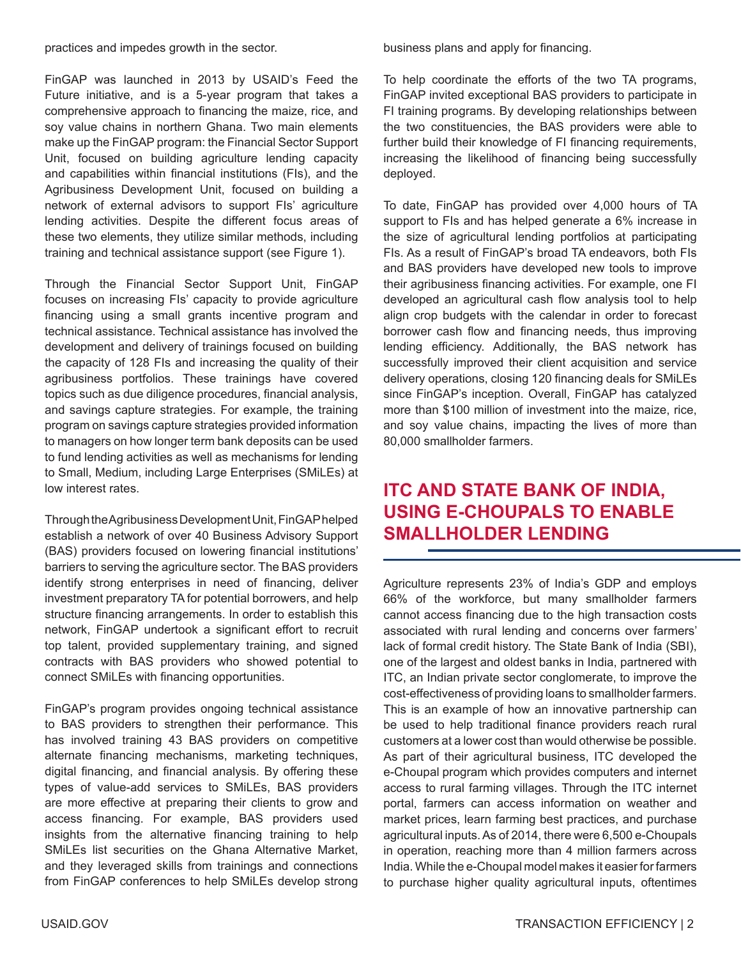practices and impedes growth in the sector.

FinGAP was launched in 2013 by USAID's Feed the Future initiative, and is a 5-year program that takes a comprehensive approach to financing the maize, rice, and soy value chains in northern Ghana. Two main elements make up the FinGAP program: the Financial Sector Support Unit, focused on building agriculture lending capacity and capabilities within financial institutions (FIs), and the Agribusiness Development Unit, focused on building a network of external advisors to support FIs' agriculture lending activities. Despite the different focus areas of these two elements, they utilize similar methods, including training and technical assistance support (see Figure 1).

Through the Financial Sector Support Unit, FinGAP focuses on increasing FIs' capacity to provide agriculture financing using a small grants incentive program and technical assistance. Technical assistance has involved the development and delivery of trainings focused on building the capacity of 128 FIs and increasing the quality of their agribusiness portfolios. These trainings have covered topics such as due diligence procedures, financial analysis, and savings capture strategies. For example, the training program on savings capture strategies provided information to managers on how longer term bank deposits can be used to fund lending activities as well as mechanisms for lending to Small, Medium, including Large Enterprises (SMiLEs) at low interest rates.

Through the Agribusiness Development Unit, FinGAP helped establish a network of over 40 Business Advisory Support (BAS) providers focused on lowering financial institutions' barriers to serving the agriculture sector. The BAS providers identify strong enterprises in need of financing, deliver investment preparatory TA for potential borrowers, and help structure financing arrangements. In order to establish this network, FinGAP undertook a significant effort to recruit top talent, provided supplementary training, and signed contracts with BAS providers who showed potential to connect SMiLEs with financing opportunities.

FinGAP's program provides ongoing technical assistance to BAS providers to strengthen their performance. This has involved training 43 BAS providers on competitive alternate financing mechanisms, marketing techniques, digital financing, and financial analysis. By offering these types of value-add services to SMiLEs, BAS providers are more effective at preparing their clients to grow and access financing. For example, BAS providers used insights from the alternative financing training to help SMiLEs list securities on the Ghana Alternative Market, and they leveraged skills from trainings and connections from FinGAP conferences to help SMiLEs develop strong business plans and apply for financing.

To help coordinate the efforts of the two TA programs, FinGAP invited exceptional BAS providers to participate in FI training programs. By developing relationships between the two constituencies, the BAS providers were able to further build their knowledge of FI financing requirements, increasing the likelihood of financing being successfully deployed.

To date, FinGAP has provided over 4,000 hours of TA support to FIs and has helped generate a 6% increase in the size of agricultural lending portfolios at participating FIs. As a result of FinGAP's broad TA endeavors, both FIs and BAS providers have developed new tools to improve their agribusiness financing activities. For example, one FI developed an agricultural cash flow analysis tool to help align crop budgets with the calendar in order to forecast borrower cash flow and financing needs, thus improving lending efficiency. Additionally, the BAS network has successfully improved their client acquisition and service delivery operations, closing 120 financing deals for SMiLEs since FinGAP's inception. Overall, FinGAP has catalyzed more than \$100 million of investment into the maize, rice, and soy value chains, impacting the lives of more than 80,000 smallholder farmers.

## **ITC AND STATE BANK OF INDIA, USING E-CHOUPALS TO ENABLE SMALLHOLDER LENDING**

Agriculture represents 23% of India's GDP and employs 66% of the workforce, but many smallholder farmers cannot access financing due to the high transaction costs associated with rural lending and concerns over farmers' lack of formal credit history. The State Bank of India (SBI), one of the largest and oldest banks in India, partnered with ITC, an Indian private sector conglomerate, to improve the cost-effectiveness of providing loans to smallholder farmers. This is an example of how an innovative partnership can be used to help traditional finance providers reach rural customers at a lower cost than would otherwise be possible. As part of their agricultural business, ITC developed the e-Choupal program which provides computers and internet access to rural farming villages. Through the ITC internet portal, farmers can access information on weather and market prices, learn farming best practices, and purchase agricultural inputs. As of 2014, there were 6,500 e-Choupals in operation, reaching more than 4 million farmers across India. While the e-Choupal model makes it easier for farmers to purchase higher quality agricultural inputs, oftentimes